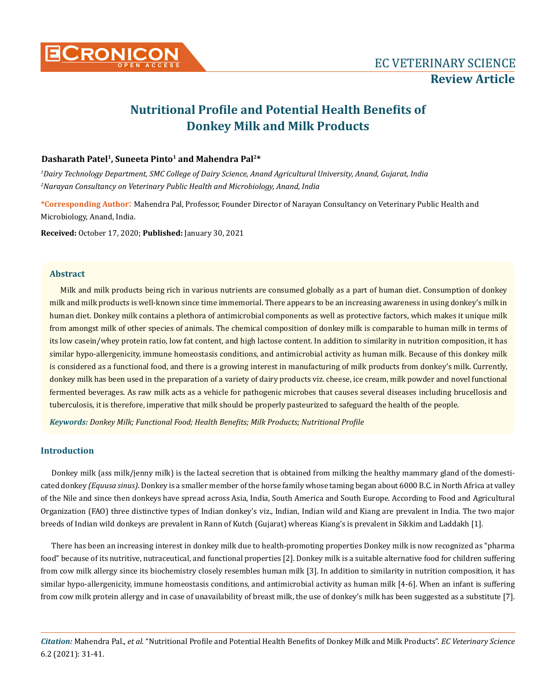

# **Nutritional Profile and Potential Health Benefits of Donkey Milk and Milk Products**

# **Dasharath Patel1, Suneeta Pinto1 and Mahendra Pal2\***

*1 Dairy Technology Department, SMC College of Dairy Science, Anand Agricultural University, Anand, Gujarat, India 2 Narayan Consultancy on Veterinary Public Health and Microbiology, Anand, India*

**\*Corresponding Author**: Mahendra Pal, Professor, Founder Director of Narayan Consultancy on Veterinary Public Health and Microbiology, Anand, India.

**Received:** October 17, 2020; **Published:** January 30, 2021

## **Abstract**

Milk and milk products being rich in various nutrients are consumed globally as a part of human diet. Consumption of donkey milk and milk products is well-known since time immemorial. There appears to be an increasing awareness in using donkey's milk in human diet. Donkey milk contains a plethora of antimicrobial components as well as protective factors, which makes it unique milk from amongst milk of other species of animals. The chemical composition of donkey milk is comparable to human milk in terms of its low casein/whey protein ratio, low fat content, and high lactose content. In addition to similarity in nutrition composition, it has similar hypo-allergenicity, immune homeostasis conditions, and antimicrobial activity as human milk. Because of this donkey milk is considered as a functional food, and there is a growing interest in manufacturing of milk products from donkey's milk. Currently, donkey milk has been used in the preparation of a variety of dairy products viz. cheese, ice cream, milk powder and novel functional fermented beverages. As raw milk acts as a vehicle for pathogenic microbes that causes several diseases including brucellosis and tuberculosis, it is therefore, imperative that milk should be properly pasteurized to safeguard the health of the people.

*Keywords: Donkey Milk; Functional Food; Health Benefits; Milk Products; Nutritional Profile*

# **Introduction**

Donkey milk (ass milk/jenny milk) is the lacteal secretion that is obtained from milking the healthy mammary gland of the domesticated donkey *(Equusa sinus)*. Donkey is a smaller member of the horse family whose taming began about 6000 B.C. in North Africa at valley of the Nile and since then donkeys have spread across Asia, India, South America and South Europe. According to Food and Agricultural Organization (FAO) three distinctive types of Indian donkey's viz., Indian, Indian wild and Kiang are prevalent in India. The two major breeds of Indian wild donkeys are prevalent in Rann of Kutch (Gujarat) whereas Kiang's is prevalent in Sikkim and Laddakh [1].

There has been an increasing interest in donkey milk due to health-promoting properties Donkey milk is now recognized as "pharma food" because of its nutritive, nutraceutical, and functional properties [2]. Donkey milk is a suitable alternative food for children suffering from cow milk allergy since its biochemistry closely resembles human milk [3]. In addition to similarity in nutrition composition, it has similar hypo-allergenicity, immune homeostasis conditions, and antimicrobial activity as human milk [4-6]. When an infant is suffering from cow milk protein allergy and in case of unavailability of breast milk, the use of donkey's milk has been suggested as a substitute [7].

*Citation:* Mahendra Pal., *et al.* "Nutritional Profile and Potential Health Benefits of Donkey Milk and Milk Products". *EC Veterinary Science*  6.2 (2021): 31-41.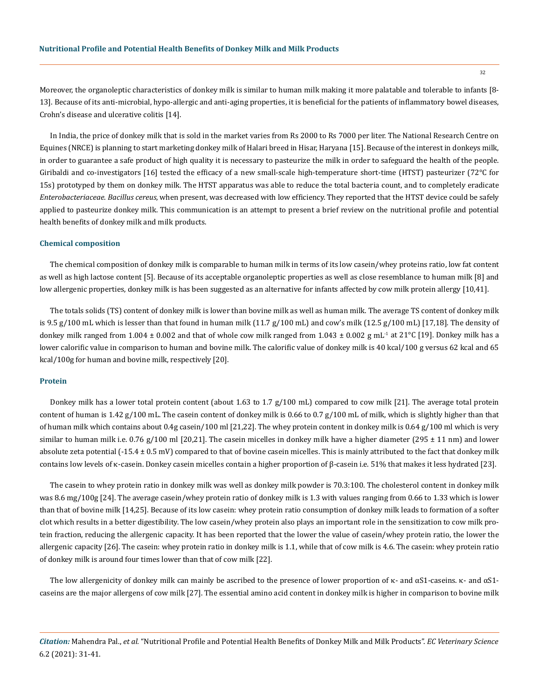Moreover, the organoleptic characteristics of donkey milk is similar to human milk making it more palatable and tolerable to infants [8- 13]. Because of its anti-microbial, hypo-allergic and anti-aging properties, it is beneficial for the patients of inflammatory bowel diseases, Crohn's disease and ulcerative colitis [14].

In India, the price of donkey milk that is sold in the market varies from Rs 2000 to Rs 7000 per liter. The National Research Centre on Equines (NRCE) is planning to start marketing donkey milk of Halari breed in Hisar, Haryana [15]. Because of the interest in donkeys milk, in order to guarantee a safe product of high quality it is necessary to pasteurize the milk in order to safeguard the health of the people. Giribaldi and co-investigators [16] tested the efficacy of a new small-scale high-temperature short-time (HTST) pasteurizer (72°C for 15s) prototyped by them on donkey milk. The HTST apparatus was able to reduce the total bacteria count, and to completely eradicate *Enterobacteriaceae*. *Bacillus cereus*, when present, was decreased with low efficiency. They reported that the HTST device could be safely applied to pasteurize donkey milk. This communication is an attempt to present a brief review on the nutritional profile and potential health benefits of donkey milk and milk products.

#### **Chemical composition**

The chemical composition of donkey milk is comparable to human milk in terms of its low casein/whey proteins ratio, low fat content as well as high lactose content [5]. Because of its acceptable organoleptic properties as well as close resemblance to human milk [8] and low allergenic properties, donkey milk is has been suggested as an alternative for infants affected by cow milk protein allergy [10,41].

The totals solids (TS) content of donkey milk is lower than bovine milk as well as human milk. The average TS content of donkey milk is 9.5 g/100 mL which is lesser than that found in human milk  $(11.7 g/100 \text{ mL})$  and cow's milk  $(12.5 g/100 \text{ mL})$  [17,18]. The density of donkey milk ranged from 1.004  $\pm$  0.002 and that of whole cow milk ranged from 1.043  $\pm$  0.002 g mL<sup>-1</sup> at 21°C [19]. Donkey milk has a lower calorific value in comparison to human and bovine milk. The calorific value of donkey milk is 40 kcal/100 g versus 62 kcal and 65 kcal/100g for human and bovine milk, respectively [20].

## **Protein**

Donkey milk has a lower total protein content (about 1.63 to 1.7 g/100 mL) compared to cow milk [21]. The average total protein content of human is  $1.42$  g/100 mL. The casein content of donkey milk is 0.66 to 0.7 g/100 mL of milk, which is slightly higher than that of human milk which contains about 0.4g casein/100 ml [21,22]. The whey protein content in donkey milk is 0.64 g/100 ml which is very similar to human milk i.e. 0.76 g/100 ml [20,21]. The casein micelles in donkey milk have a higher diameter (295  $\pm$  11 nm) and lower absolute zeta potential  $(-15.4 \pm 0.5 \text{ mV})$  compared to that of bovine casein micelles. This is mainly attributed to the fact that donkey milk contains low levels of κ-casein. Donkey casein micelles contain a higher proportion of β-casein i.e. 51% that makes it less hydrated [23].

The casein to whey protein ratio in donkey milk was well as donkey milk powder is 70.3:100. The cholesterol content in donkey milk was 8.6 mg/100g [24]. The average casein/whey protein ratio of donkey milk is 1.3 with values ranging from 0.66 to 1.33 which is lower than that of bovine milk [14,25]. Because of its low casein: whey protein ratio consumption of donkey milk leads to formation of a softer clot which results in a better digestibility. The low casein/whey protein also plays an important role in the sensitization to cow milk protein fraction, reducing the allergenic capacity. It has been reported that the lower the value of casein/whey protein ratio, the lower the allergenic capacity [26]. The casein: whey protein ratio in donkey milk is 1.1, while that of cow milk is 4.6. The casein: whey protein ratio of donkey milk is around four times lower than that of cow milk [22].

The low allergenicity of donkey milk can mainly be ascribed to the presence of lower proportion of  $\kappa$ - and  $\alpha S1$ -caseins.  $\kappa$ - and  $\alpha S1$ caseins are the major allergens of cow milk [27]. The essential amino acid content in donkey milk is higher in comparison to bovine milk

*Citation:* Mahendra Pal., *et al.* "Nutritional Profile and Potential Health Benefits of Donkey Milk and Milk Products". *EC Veterinary Science*  6.2 (2021): 31-41.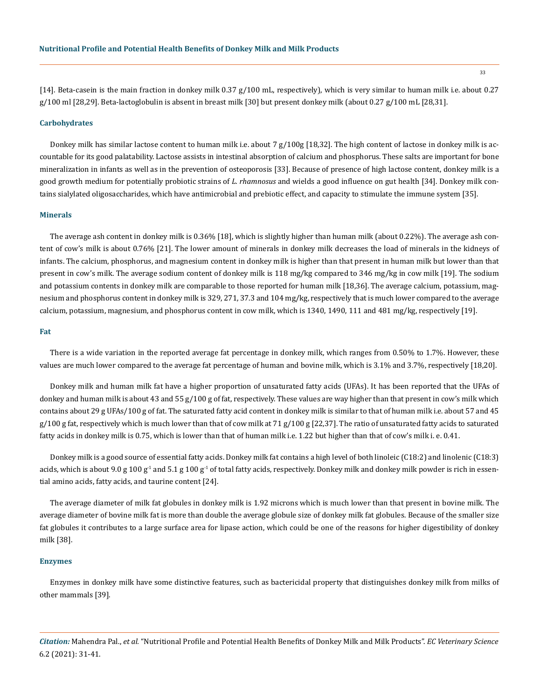[14]. Beta-casein is the main fraction in donkey milk 0.37 g/100 mL, respectively), which is very similar to human milk i.e. about 0.27  $g/100$  ml [28,29]. Beta-lactoglobulin is absent in breast milk [30] but present donkey milk (about 0.27  $g/100$  mL [28,31].

#### **Carbohydrates**

Donkey milk has similar lactose content to human milk i.e. about 7 g/100g [18,32]. The high content of lactose in donkey milk is accountable for its good palatability. Lactose assists in intestinal absorption of calcium and phosphorus. These salts are important for bone mineralization in infants as well as in the prevention of osteoporosis [33]. Because of presence of high lactose content, donkey milk is a good growth medium for potentially probiotic strains of *L. rhamnosus* and wields a good influence on gut health [34]. Donkey milk contains sialylated oligosaccharides, which have antimicrobial and prebiotic effect, and capacity to stimulate the immune system [35].

## **Minerals**

The average ash content in donkey milk is 0.36% [18], which is slightly higher than human milk (about 0.22%). The average ash content of cow's milk is about 0.76% [21]. The lower amount of minerals in donkey milk decreases the load of minerals in the kidneys of infants. The calcium, phosphorus, and magnesium content in donkey milk is higher than that present in human milk but lower than that present in cow's milk. The average sodium content of donkey milk is 118 mg/kg compared to 346 mg/kg in cow milk [19]. The sodium and potassium contents in donkey milk are comparable to those reported for human milk [18,36]. The average calcium, potassium, magnesium and phosphorus content in donkey milk is 329, 271, 37.3 and 104 mg/kg, respectively that is much lower compared to the average calcium, potassium, magnesium, and phosphorus content in cow milk, which is 1340, 1490, 111 and 481 mg/kg, respectively [19].

#### **Fat**

There is a wide variation in the reported average fat percentage in donkey milk, which ranges from 0.50% to 1.7%. However, these values are much lower compared to the average fat percentage of human and bovine milk, which is 3.1% and 3.7%, respectively [18,20].

Donkey milk and human milk fat have a higher proportion of unsaturated fatty acids (UFAs). It has been reported that the UFAs of donkey and human milk is about 43 and 55 g/100 g of fat, respectively. These values are way higher than that present in cow's milk which contains about 29 g UFAs/100 g of fat. The saturated fatty acid content in donkey milk is similar to that of human milk i.e. about 57 and 45  $g/100 g$  fat, respectively which is much lower than that of cow milk at 71  $g/100 g$  [22,37]. The ratio of unsaturated fatty acids to saturated fatty acids in donkey milk is 0.75, which is lower than that of human milk i.e. 1.22 but higher than that of cow's milk i. e. 0.41.

Donkey milk is a good source of essential fatty acids. Donkey milk fat contains a high level of both linoleic (C18:2) and linolenic (C18:3) acids, which is about 9.0 g 100 g<sup>-1</sup> and 5.1 g 100 g<sup>-1</sup> of total fatty acids, respectively. Donkey milk and donkey milk powder is rich in essential amino acids, fatty acids, and taurine content [24].

The average diameter of milk fat globules in donkey milk is 1.92 microns which is much lower than that present in bovine milk. The average diameter of bovine milk fat is more than double the average globule size of donkey milk fat globules. Because of the smaller size fat globules it contributes to a large surface area for lipase action, which could be one of the reasons for higher digestibility of donkey milk [38].

#### **Enzymes**

Enzymes in donkey milk have some distinctive features, such as bactericidal property that distinguishes donkey milk from milks of other mammals [39].

*Citation:* Mahendra Pal., *et al.* "Nutritional Profile and Potential Health Benefits of Donkey Milk and Milk Products". *EC Veterinary Science*  6.2 (2021): 31-41.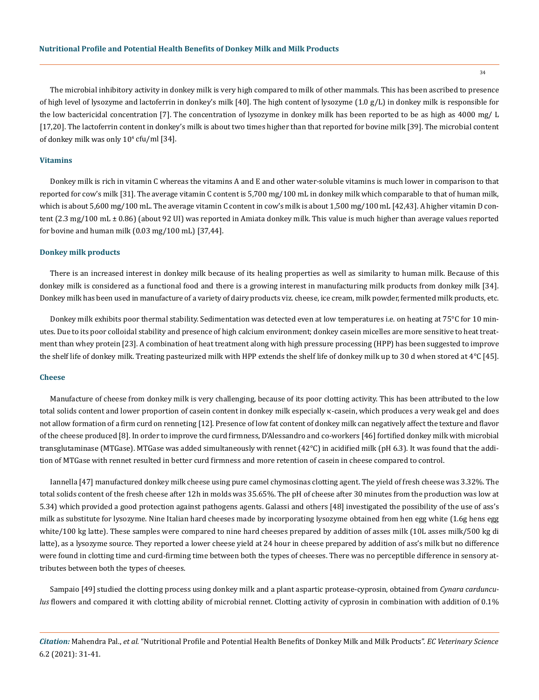The microbial inhibitory activity in donkey milk is very high compared to milk of other mammals. This has been ascribed to presence of high level of lysozyme and lactoferrin in donkey's milk [40]. The high content of lysozyme (1.0 g/L) in donkey milk is responsible for the low bactericidal concentration [7]. The concentration of lysozyme in donkey milk has been reported to be as high as 4000 mg/ L [17,20]. The lactoferrin content in donkey's milk is about two times higher than that reported for bovine milk [39]. The microbial content of donkey milk was only  $10^4$  cfu/ml [34].

## **Vitamins**

Donkey milk is rich in vitamin C whereas the vitamins A and E and other water-soluble vitamins is much lower in comparison to that reported for cow's milk [31]. The average vitamin C content is 5,700 mg/100 mL in donkey milk which comparable to that of human milk, which is about 5,600 mg/100 mL. The average vitamin C content in cow's milk is about 1,500 mg/100 mL [42,43]. A higher vitamin D content (2.3 mg/100 mL ± 0.86) (about 92 UI) was reported in Amiata donkey milk. This value is much higher than average values reported for bovine and human milk (0.03 mg/100 mL) [37,44].

## **Donkey milk products**

There is an increased interest in donkey milk because of its healing properties as well as similarity to human milk. Because of this donkey milk is considered as a functional food and there is a growing interest in manufacturing milk products from donkey milk [34]. Donkey milk has been used in manufacture of a variety of dairy products viz. cheese, ice cream, milk powder, fermented milk products, etc.

Donkey milk exhibits poor thermal stability. Sedimentation was detected even at low temperatures i.e. on heating at 75°C for 10 minutes. Due to its poor colloidal stability and presence of high calcium environment; donkey casein micelles are more sensitive to heat treatment than whey protein [23]. A combination of heat treatment along with high pressure processing (HPP) has been suggested to improve the shelf life of donkey milk. Treating pasteurized milk with HPP extends the shelf life of donkey milk up to 30 d when stored at 4°C [45].

### **Cheese**

Manufacture of cheese from donkey milk is very challenging, because of its poor clotting activity. This has been attributed to the low total solids content and lower proportion of casein content in donkey milk especially κ-casein, which produces a very weak gel and does not allow formation of a firm curd on renneting [12]. Presence of low fat content of donkey milk can negatively affect the texture and flavor of the cheese produced [8]. In order to improve the curd firmness, D'Alessandro and co-workers [46] fortified donkey milk with microbial transglutaminase (MTGase). MTGase was added simultaneously with rennet (42°C) in acidified milk (pH 6.3). It was found that the addition of MTGase with rennet resulted in better curd firmness and more retention of casein in cheese compared to control.

Iannella [47] manufactured donkey milk cheese using pure camel chymosinas clotting agent. The yield of fresh cheese was 3.32%. The total solids content of the fresh cheese after 12h in molds was 35.65%. The pH of cheese after 30 minutes from the production was low at 5.34) which provided a good protection against pathogens agents. Galassi and others [48] investigated the possibility of the use of ass's milk as substitute for lysozyme. Nine Italian hard cheeses made by incorporating lysozyme obtained from hen egg white (1.6g hens egg white/100 kg latte). These samples were compared to nine hard cheeses prepared by addition of asses milk (10L asses milk/500 kg di latte), as a lysozyme source. They reported a lower cheese yield at 24 hour in cheese prepared by addition of ass's milk but no difference were found in clotting time and curd-firming time between both the types of cheeses. There was no perceptible difference in sensory attributes between both the types of cheeses.

Sampaio [49] studied the clotting process using donkey milk and a plant aspartic protease-cyprosin, obtained from *Cynara cardunculus* flowers and compared it with clotting ability of microbial rennet. Clotting activity of cyprosin in combination with addition of 0.1%

*Citation:* Mahendra Pal., *et al.* "Nutritional Profile and Potential Health Benefits of Donkey Milk and Milk Products". *EC Veterinary Science*  6.2 (2021): 31-41.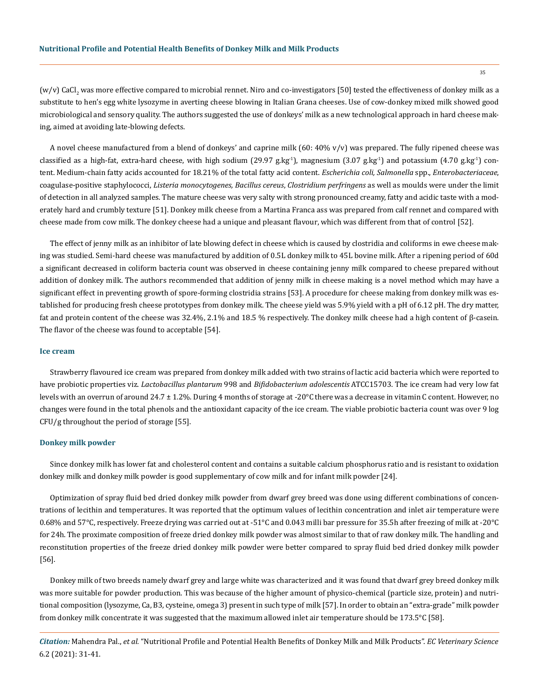(w/v) CaCl<sub>2</sub> was more effective compared to microbial rennet. Niro and co-investigators [50] tested the effectiveness of donkey milk as a substitute to hen's egg white lysozyme in averting cheese blowing in Italian Grana cheeses. Use of cow-donkey mixed milk showed good microbiological and sensory quality. The authors suggested the use of donkeys' milk as a new technological approach in hard cheese making, aimed at avoiding late-blowing defects.

A novel cheese manufactured from a blend of donkeys' and caprine milk (60: 40% v/v) was prepared. The fully ripened cheese was classified as a high-fat, extra-hard cheese, with high sodium (29.97 g.kg<sup>-1</sup>), magnesium (3.07 g.kg<sup>-1</sup>) and potassium (4.70 g.kg<sup>-1</sup>) content. Medium-chain fatty acids accounted for 18.21% of the total fatty acid content. *Escherichia coli, Salmonella* spp., *Enterobacteriaceae*, coagulase-positive staphylococci, *Listeria monocytogenes, Bacillus cereus*, *Clostridium perfringens* as well as moulds were under the limit of detection in all analyzed samples. The mature cheese was very salty with strong pronounced creamy, fatty and acidic taste with a moderately hard and crumbly texture [51]. Donkey milk cheese from a Martina Franca ass was prepared from calf rennet and compared with cheese made from cow milk. The donkey cheese had a unique and pleasant flavour, which was different from that of control [52].

The effect of jenny milk as an inhibitor of late blowing defect in cheese which is caused by clostridia and coliforms in ewe cheese making was studied. Semi-hard cheese was manufactured by addition of 0.5L donkey milk to 45L bovine milk. After a ripening period of 60d a significant decreased in coliform bacteria count was observed in cheese containing jenny milk compared to cheese prepared without addition of donkey milk. The authors recommended that addition of jenny milk in cheese making is a novel method which may have a significant effect in preventing growth of spore-forming clostridia strains [53]. A procedure for cheese making from donkey milk was established for producing fresh cheese prototypes from donkey milk. The cheese yield was 5.9% yield with a pH of 6.12 pH. The dry matter, fat and protein content of the cheese was 32.4%, 2.1% and 18.5 % respectively. The donkey milk cheese had a high content of β-casein. The flavor of the cheese was found to acceptable [54].

## **Ice cream**

Strawberry flavoured ice cream was prepared from donkey milk added with two strains of lactic acid bacteria which were reported to have probiotic properties viz. *Lactobacillus plantarum* 998 and *Bifidobacterium adolescentis* ATCC15703. The ice cream had very low fat levels with an overrun of around 24.7 ± 1.2%. During 4 months of storage at -20°C there was a decrease in vitamin C content. However, no changes were found in the total phenols and the antioxidant capacity of the ice cream. The viable probiotic bacteria count was over 9 log CFU/g throughout the period of storage [55].

#### **Donkey milk powder**

Since donkey milk has lower fat and cholesterol content and contains a suitable calcium phosphorus ratio and is resistant to oxidation donkey milk and donkey milk powder is good supplementary of cow milk and for infant milk powder [24].

Optimization of spray fluid bed dried donkey milk powder from dwarf grey breed was done using different combinations of concentrations of lecithin and temperatures. It was reported that the optimum values of lecithin concentration and inlet air temperature were 0.68% and 57°C, respectively. Freeze drying was carried out at -51°C and 0.043 milli bar pressure for 35.5h after freezing of milk at -20°C for 24h. The proximate composition of freeze dried donkey milk powder was almost similar to that of raw donkey milk. The handling and reconstitution properties of the freeze dried donkey milk powder were better compared to spray fluid bed dried donkey milk powder [56].

Donkey milk of two breeds namely dwarf grey and large white was characterized and it was found that dwarf grey breed donkey milk was more suitable for powder production. This was because of the higher amount of physico-chemical (particle size, protein) and nutritional composition (lysozyme, Ca, B3, cysteine, omega 3) present in such type of milk [57]. In order to obtain an "extra-grade" milk powder from donkey milk concentrate it was suggested that the maximum allowed inlet air temperature should be 173.5°C [58].

*Citation:* Mahendra Pal., *et al.* "Nutritional Profile and Potential Health Benefits of Donkey Milk and Milk Products". *EC Veterinary Science*  6.2 (2021): 31-41.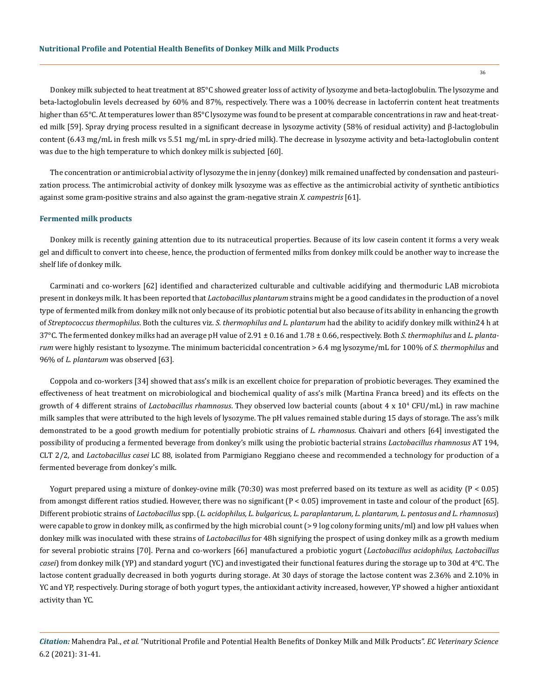Donkey milk subjected to heat treatment at 85°C showed greater loss of activity of lysozyme and beta-lactoglobulin. The lysozyme and beta-lactoglobulin levels decreased by 60% and 87%, respectively. There was a 100% decrease in lactoferrin content heat treatments higher than 65°C. At temperatures lower than 85°C lysozyme was found to be present at comparable concentrations in raw and heat-treated milk [59]. Spray drying process resulted in a significant decrease in lysozyme activity (58% of residual activity) and β-lactoglobulin content (6.43 mg/mL in fresh milk vs 5.51 mg/mL in spry-dried milk). The decrease in lysozyme activity and beta-lactoglobulin content was due to the high temperature to which donkey milk is subjected [60].

The concentration or antimicrobial activity of lysozyme the in jenny (donkey) milk remained unaffected by condensation and pasteurization process. The antimicrobial activity of donkey milk lysozyme was as effective as the antimicrobial activity of synthetic antibiotics against some gram-positive strains and also against the gram-negative strain *X. campestris* [61].

#### **Fermented milk products**

Donkey milk is recently gaining attention due to its nutraceutical properties. Because of its low casein content it forms a very weak gel and difficult to convert into cheese, hence, the production of fermented milks from donkey milk could be another way to increase the shelf life of donkey milk.

Carminati and co-workers [62] identified and characterized culturable and cultivable acidifying and thermoduric LAB microbiota present in donkeys milk. It has been reported that *Lactobacillus plantarum* strains might be a good candidates in the production of a novel type of fermented milk from donkey milk not only because of its probiotic potential but also because of its ability in enhancing the growth of *Streptococcus thermophilus*. Both the cultures viz. *S. thermophilus and L. plantarum* had the ability to acidify donkey milk within24 h at 37°C. The fermented donkey milks had an average pH value of 2.91 ± 0.16 and 1.78 ± 0.66, respectively. Both *S. thermophilus* and *L. plantarum* were highly resistant to lysozyme. The minimum bactericidal concentration > 6.4 mg lysozyme/mL for 100% of *S. thermophilus* and 96% of *L. plantarum* was observed [63]*.*

Coppola and co-workers [34] showed that ass's milk is an excellent choice for preparation of probiotic beverages. They examined the effectiveness of heat treatment on microbiological and biochemical quality of ass's milk (Martina Franca breed) and its effects on the growth of 4 different strains of *Lactobacillus rhamnosus*. They observed low bacterial counts (about 4 x 10<sup>4</sup> CFU/mL) in raw machine milk samples that were attributed to the high levels of lysozyme. The pH values remained stable during 15 days of storage. The ass's milk demonstrated to be a good growth medium for potentially probiotic strains of *L. rhamnosus*. Chaivari and others [64] investigated the possibility of producing a fermented beverage from donkey's milk using the probiotic bacterial strains *Lactobacillus rhamnosus* AT 194, CLT 2/2, and *Lactobacillus casei* LC 88, isolated from Parmigiano Reggiano cheese and recommended a technology for production of a fermented beverage from donkey's milk.

Yogurt prepared using a mixture of donkey-ovine milk (70:30) was most preferred based on its texture as well as acidity (P < 0.05) from amongst different ratios studied. However, there was no significant  $(P < 0.05)$  improvement in taste and colour of the product [65]. Different probiotic strains of *Lactobacillus* spp. (*L. acidophilus, L. bulgaricus, L. paraplantarum, L. plantarum, L. pentosus and L. rhamnosus*) were capable to grow in donkey milk, as confirmed by the high microbial count (> 9 log colony forming units/ml) and low pH values when donkey milk was inoculated with these strains of *Lactobacillus* for 48h signifying the prospect of using donkey milk as a growth medium for several probiotic strains [70]. Perna and co-workers [66] manufactured a probiotic yogurt (*Lactobacillus acidophilus, Lactobacillus casei*) from donkey milk (YP) and standard yogurt (YC) and investigated their functional features during the storage up to 30d at 4°C. The lactose content gradually decreased in both yogurts during storage. At 30 days of storage the lactose content was 2.36% and 2.10% in YC and YP, respectively. During storage of both yogurt types, the antioxidant activity increased, however, YP showed a higher antioxidant activity than YC.

*Citation:* Mahendra Pal., *et al.* "Nutritional Profile and Potential Health Benefits of Donkey Milk and Milk Products". *EC Veterinary Science*  6.2 (2021): 31-41.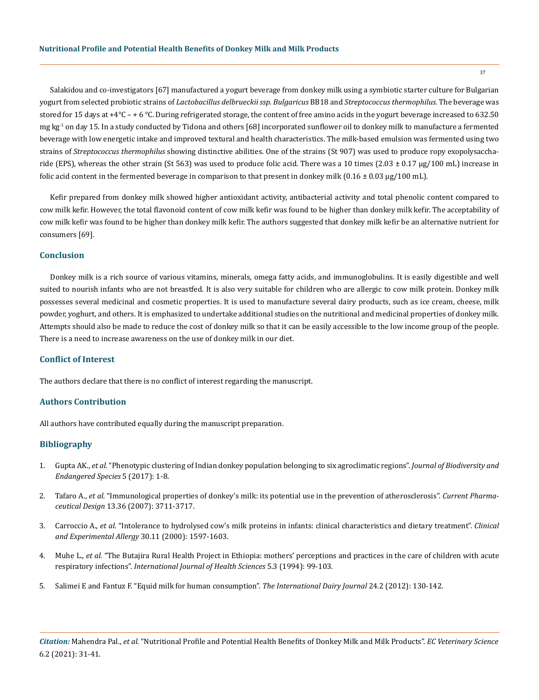Salakidou and co-investigators [67] manufactured a yogurt beverage from donkey milk using a symbiotic starter culture for Bulgarian yogurt from selected probiotic strains of *Lactobacillus delbrueckii ssp. Bulgaricus* BB18 and *Streptococcus thermophilus.* The beverage was stored for 15 days at +4 $^{\circ}$ C – + 6  $^{\circ}$ C. During refrigerated storage, the content of free amino acids in the yogurt beverage increased to 632.50  $mg$  kg<sup>-1</sup> on day 15. In a study conducted by Tidona and others [68] incorporated sunflower oil to donkey milk to manufacture a fermented beverage with low energetic intake and improved textural and health characteristics. The milk-based emulsion was fermented using two strains of *Streptococcus thermophilus* showing distinctive abilities. One of the strains (St 907) was used to produce ropy exopolysaccharide (EPS), whereas the other strain (St 563) was used to produce folic acid. There was a 10 times  $(2.03 \pm 0.17 \,\mu g/100 \,\text{mL})$  increase in folic acid content in the fermented beverage in comparison to that present in donkey milk  $(0.16 \pm 0.03 \,\mu g/100 \,\text{mL})$ .

Kefir prepared from donkey milk showed higher antioxidant activity, antibacterial activity and total phenolic content compared to cow milk kefir. However, the total flavonoid content of cow milk kefir was found to be higher than donkey milk kefir. The acceptability of cow milk kefir was found to be higher than donkey milk kefir. The authors suggested that donkey milk kefir be an alternative nutrient for consumers [69].

# **Conclusion**

Donkey milk is a rich source of various vitamins, minerals, omega fatty acids, and immunoglobulins. It is easily digestible and well suited to nourish infants who are not breastfed. It is also very suitable for children who are allergic to cow milk protein. Donkey milk possesses several medicinal and cosmetic properties. It is used to manufacture several dairy products, such as ice cream, cheese, milk powder, yoghurt, and others. It is emphasized to undertake additional studies on the nutritional and medicinal properties of donkey milk. Attempts should also be made to reduce the cost of donkey milk so that it can be easily accessible to the low income group of the people. There is a need to increase awareness on the use of donkey milk in our diet.

# **Conflict of Interest**

The authors declare that there is no conflict of interest regarding the manuscript.

# **Authors Contribution**

All authors have contributed equally during the manuscript preparation.

## **Bibliography**

- 1. Gupta AK., *et al.* ["Phenotypic clustering of Indian donkey population belonging to six agroclimatic regions".](https://www.hilarispublisher.com/abstract/phenotypic-clustering-of-indian-donkey-population-belonging-to-six-agroclimatic-regions-28716.html) *Journal of Biodiversity and [Endangered Species](https://www.hilarispublisher.com/abstract/phenotypic-clustering-of-indian-donkey-population-belonging-to-six-agroclimatic-regions-28716.html)* 5 (2017): 1-8.
- 2. Tafaro A., *et al.* ["Immunological properties of donkey's milk: its potential use in the prevention of atherosclerosis".](https://pubmed.ncbi.nlm.nih.gov/18220810/) *Current Pharmaceutical Design* [13.36 \(2007\): 3711-3717.](https://pubmed.ncbi.nlm.nih.gov/18220810/)
- 3. Carroccio A., *et al.* ["Intolerance to hydrolysed cow's milk proteins in infants: clinical characteristics and dietary treatment".](https://pubmed.ncbi.nlm.nih.gov/11069569/) *Clinical [and Experimental Allergy](https://pubmed.ncbi.nlm.nih.gov/11069569/)* 30.11 (2000): 1597-1603.
- 4. Muhe L., *et al.* ["The Butajira Rural Health Project in Ethiopia: mothers' perceptions and practices in the care of children with acute](https://pubmed.ncbi.nlm.nih.gov/12320383/)  respiratory infections". *[International Journal of Health Sciences](https://pubmed.ncbi.nlm.nih.gov/12320383/)* 5.3 (1994): 99-103.
- 5. [Salimei E and Fantuz F. "Equid milk for human consumption".](https://www.sciencedirect.com/science/article/abs/pii/S0958694611002937) *The International Dairy Journal* 24.2 (2012): 130-142.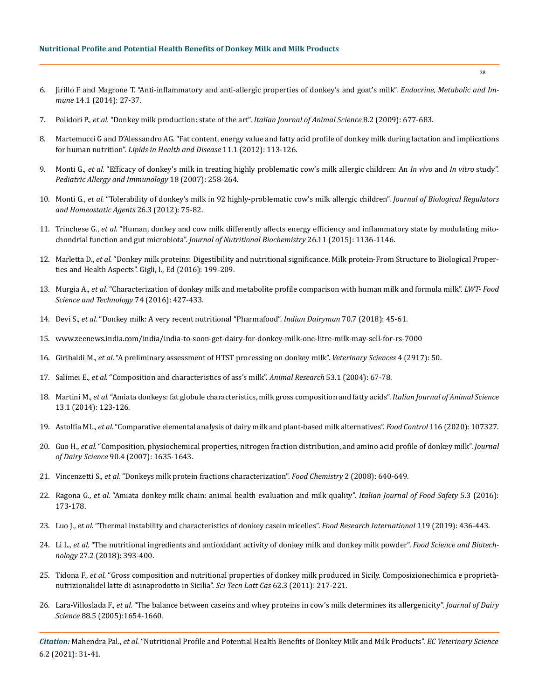- 6. [Jirillo F and Magrone T. "Anti-inflammatory and anti-allergic properties of donkey's and goat's milk".](https://www.researchgate.net/publication/263610939_Anti-inflammatory_and_Anti-Allergic_Properties_of_Donkey%27s_and_Goat%27s_Milk) *Endocrine, Metabolic and Immune* [14.1 \(2014\): 27-37.](https://www.researchgate.net/publication/263610939_Anti-inflammatory_and_Anti-Allergic_Properties_of_Donkey%27s_and_Goat%27s_Milk)
- 7. Polidori P., *et al.* ["Donkey milk production: state of the art".](https://www.researchgate.net/publication/41393868_Donkey_milk_production_State_of_the_art) *Italian Journal of Animal Science* 8.2 (2009): 677-683.
- 8. [Martemucci G and D'Alessandro AG. "Fat content, energy value and fatty acid profile of donkey milk during lactation and implications](https://pubmed.ncbi.nlm.nih.gov/22963037/)  for human nutrition". *[Lipids in Health and Disease](https://pubmed.ncbi.nlm.nih.gov/22963037/)* 11.1 (2012): 113-126.
- 9. Monti G., *et al.* ["Efficacy of donkey's milk in treating highly problematic cow's milk allergic children: An](https://pubmed.ncbi.nlm.nih.gov/17433003/) *In vivo* and *In vitro* study". *[Pediatric Allergy and Immunology](https://pubmed.ncbi.nlm.nih.gov/17433003/)* 18 (2007): 258-264.
- 10. Monti G., *et al.* ["Tolerability of donkey's milk in 92 highly-problematic cow's milk allergic children".](https://pubmed.ncbi.nlm.nih.gov/23158519/) *Journal of Biological Regulators [and Homeostatic Agents](https://pubmed.ncbi.nlm.nih.gov/23158519/)* 26.3 (2012): 75-82.
- 11. Trinchese G., *et al.* ["Human, donkey and cow milk differently affects energy efficiency and inflammatory state by modulating mito](https://pubmed.ncbi.nlm.nih.gov/26118693/)chondrial function and gut microbiota". *[Journal of Nutritional Biochemistry](https://pubmed.ncbi.nlm.nih.gov/26118693/)* 26.11 (2015): 1136-1146.
- 12. Marletta D., *et al.* "Donkey milk proteins: Digestibility and nutritional significance. Milk protein-From Structure to Biological Properties and Health Aspects". Gigli, I., Ed (2016): 199-209.
- 13. Murgia A., *et al.* ["Characterization of donkey milk and metabolite profile comparison with human milk and formula milk".](https://www.sciencedirect.com/science/article/abs/pii/S0023643816304819) *LWT- Food [Science and Technology](https://www.sciencedirect.com/science/article/abs/pii/S0023643816304819)* 74 (2016): 427-433.
- 14. Devi S., *et al.* ["Donkey milk: A very recent nutritional "Pharmafood".](https://www.researchgate.net/publication/326346958_Donkey_Milk_A_Very_Recent_Nutritional_%27Pharmafood) *Indian Dairyman* 70.7 (2018): 45-61.
- 15. [www.zeenews.india.com/india/india-to-soon-get-dairy-for-donkey-milk-one-litre-milk-may-sell-for-rs-7000](http://www.zeenews.india.com/india/india-to-soon-get-dairy-for-donkey-milk-one-litre-milk-may-sell-for-rs-7000)
- 16. Giribaldi M., *et al.* ["A preliminary assessment of HTST processing on donkey milk".](https://pubmed.ncbi.nlm.nih.gov/29056708/) *Veterinary Sciences* 4 (2917): 50.
- 17. Salimei E., *et al.* ["Composition and characteristics of ass's milk".](https://hal.archives-ouvertes.fr/hal-00890002/document) *Animal Research* 53.1 (2004): 67-78.
- 18. Martini M., *et al.* ["Amiata donkeys: fat globule characteristics, milk gross composition and fatty acids".](https://www.researchgate.net/publication/275924317_Amiata_Donkeys_Fat_Globule_Characteristics_Milk_Gross_Composition_and_Fatty_Acids) *Italian Journal of Animal Science*  [13.1 \(2014\): 123-126.](https://www.researchgate.net/publication/275924317_Amiata_Donkeys_Fat_Globule_Characteristics_Milk_Gross_Composition_and_Fatty_Acids)
- 19. Astolfia ML., *et al.* ["Comparative elemental analysis of dairy milk and plant-based milk alternatives".](https://www.sciencedirect.com/science/article/abs/pii/S0956713520302437) *Food Control* 116 (2020): 107327.
- 20. Guo H., *et al.* ["Composition, physiochemical properties, nitrogen fraction distribution, and amino acid profile of donkey milk".](https://www.sciencedirect.com/science/article/pii/S0022030207716491) *Journal of Dairy Science* [90.4 \(2007\): 1635-1643.](https://www.sciencedirect.com/science/article/pii/S0022030207716491)
- 21. Vincenzetti S., *et al.* ["Donkeys milk protein fractions characterization".](https://www.sciencedirect.com/science/article/abs/pii/S0308814607006279) *Food Chemistry* 2 (2008): 640-649.
- 22. Ragona G., *et al.* ["Amiata donkey milk chain: animal health evaluation and milk quality".](https://www.researchgate.net/publication/308466781_Amiata_Donkey_Milk_Chain_Animal_Health_Evaluation_and_Milk_Quality) *Italian Journal of Food Safety* 5.3 (2016): [173-178.](https://www.researchgate.net/publication/308466781_Amiata_Donkey_Milk_Chain_Animal_Health_Evaluation_and_Milk_Quality)
- 23. Luo J., *et al.* ["Thermal instability and characteristics of donkey casein micelles".](https://pubmed.ncbi.nlm.nih.gov/30884674/) *Food Research International* 119 (2019): 436-443.
- 24. Li L., *et al.* ["The nutritional ingredients and antioxidant activity of donkey milk and donkey milk powder".](https://www.researchgate.net/publication/321757350_The_nutritional_ingredients_and_antioxidant_activity_of_donkey_milk_and_donkey_milk_powder) *Food Science and Biotechnology* [27.2 \(2018\): 393-400.](https://www.researchgate.net/publication/321757350_The_nutritional_ingredients_and_antioxidant_activity_of_donkey_milk_and_donkey_milk_powder)
- 25. Tidona F., *et al.* "Gross composition and nutritional properties of donkey milk produced in Sicily. Composizionechimica e proprietànutrizionalidel latte di asinaprodotto in Sicilia". *Sci Tecn Latt Cas* 62.3 (2011): 217-221.
- 26. Lara-Villoslada F., *et al.* ["The balance between caseins and whey proteins in cow's milk determines its allergenicity".](https://pubmed.ncbi.nlm.nih.gov/15829656/) *Journal of Dairy Science* [88.5 \(2005\):1654-1660.](https://pubmed.ncbi.nlm.nih.gov/15829656/)

*Citation:* Mahendra Pal., *et al.* "Nutritional Profile and Potential Health Benefits of Donkey Milk and Milk Products". *EC Veterinary Science*  6.2 (2021): 31-41.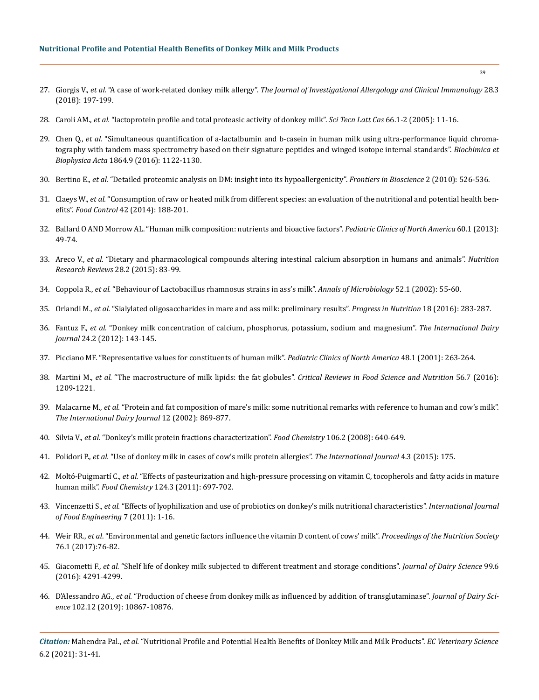- 27. Giorgis V., *et al.* "A case of work-related donkey milk allergy". *[The Journal of Investigational Allergology and Clinical Immunology](https://pubmed.ncbi.nlm.nih.gov/29939141/)* 28.3 [\(2018\): 197-199.](https://pubmed.ncbi.nlm.nih.gov/29939141/)
- 28. Caroli AM., *et al.* "lactoprotein profile and total proteasic activity of donkey milk". *Sci Tecn Latt Cas* 66.1-2 (2005): 11-16.
- 29. Chen Q., *et al.* ["Simultaneous quantification of a-lactalbumin and b-casein in human milk using ultra-performance liquid chroma](https://www.sciencedirect.com/science/article/abs/pii/S1570963916301157)[tography with tandem mass spectrometry based on their signature peptides and winged isotope internal standards".](https://www.sciencedirect.com/science/article/abs/pii/S1570963916301157) *Biochimica et Biophysica Acta* [1864.9 \(2016\): 1122-1130.](https://www.sciencedirect.com/science/article/abs/pii/S1570963916301157)
- 30. Bertino E., *et al.* ["Detailed proteomic analysis on DM: insight into its hypoallergenicity".](https://pubmed.ncbi.nlm.nih.gov/20036899/) *Frontiers in Bioscience* 2 (2010): 526-536.
- 31. Claeys W., *et al.* ["Consumption of raw or heated milk from different species: an evaluation of the nutritional and potential health ben](https://www.sciencedirect.com/science/article/abs/pii/S0956713514000607)efits". *Food Control* [42 \(2014\): 188-201.](https://www.sciencedirect.com/science/article/abs/pii/S0956713514000607)
- 32. [Ballard O AND Morrow AL. "Human milk composition: nutrients and bioactive factors".](https://www.ncbi.nlm.nih.gov/pmc/articles/PMC3586783/) *Pediatric Clinics of North America* 60.1 (2013): [49-74.](https://www.ncbi.nlm.nih.gov/pmc/articles/PMC3586783/)
- 33. Areco V., *et al.* ["Dietary and pharmacological compounds altering intestinal calcium absorption in humans and animals".](https://pubmed.ncbi.nlm.nih.gov/26466525/) *Nutrition [Research Reviews](https://pubmed.ncbi.nlm.nih.gov/26466525/)* 28.2 (2015): 83-99.
- 34. Coppola R., *et al.* ["Behaviour of Lactobacillus rhamnosus strains in ass's milk".](https://www.researchgate.net/publication/228543521_Behaviour_of_Lactobacillus_rhamnosus_strains_in_ass%27_milk) *Annals of Microbiology* 52.1 (2002): 55-60.
- 35. Orlandi M., *et al.* ["Sialylated oligosaccharides in mare and ass milk: preliminary results".](https://www.mattioli1885journals.com/index.php/progressinnutrition/article/view/5148) *Progress in Nutrition* 18 (2016): 283-287.
- 36. Fantuz F., *et al.* ["Donkey milk concentration of calcium, phosphorus, potassium, sodium and magnesium".](https://www.researchgate.net/publication/271560123_Donkey_milk_concentration_of_calcium_phosphorus_potassium_sodium_and_magnesium) *The International Dairy Journal* [24.2 \(2012\): 143-145.](https://www.researchgate.net/publication/271560123_Donkey_milk_concentration_of_calcium_phosphorus_potassium_sodium_and_magnesium)
- 37. [Picciano MF. "Representative values for constituents of human milk".](https://pubmed.ncbi.nlm.nih.gov/11236731/) *Pediatric Clinics of North America* 48.1 (2001): 263-264.
- 38. Martini M., *et al.* "The macrostructure of milk lipids: the fat globules". *[Critical Reviews in Food Science and Nutrition](https://www.tandfonline.com/doi/abs/10.1080/10408398.2012.758626?journalCode=bfsn20)* 56.7 (2016): [1209-1221.](https://www.tandfonline.com/doi/abs/10.1080/10408398.2012.758626?journalCode=bfsn20)
- 39. Malacarne M., *et al.* ["Protein and fat composition of mare's milk: some nutritional remarks with reference to human and cow's milk".](https://www.sciencedirect.com/science/article/abs/pii/S0958694602001206)  *[The International Dairy Journal](https://www.sciencedirect.com/science/article/abs/pii/S0958694602001206)* 12 (2002): 869-877.
- 40. Silvia V., *et al.* ["Donkey's milk protein fractions characterization".](https://www.sciencedirect.com/science/article/abs/pii/S0308814607006279) *Food Chemistry* 106.2 (2008): 640-649.
- 41. Polidori P., *et al.* ["Use of donkey milk in cases of cow's milk protein allergies".](https://www.researchgate.net/publication/281441780_Use_of_Donkey_Milk_in_Cases_of_Cow%27s_Milk_Protein_Allergies) *The International Journal* 4.3 (2015): 175.
- 42. Moltó-Puigmartí C., *et al.* ["Effects of pasteurization and high-pressure processing on vitamin C, tocopherols and fatty acids in mature](https://www.sciencedirect.com/science/article/abs/pii/S0308814610006539)  human milk". *Food Chemistry* [124.3 \(2011\): 697-702.](https://www.sciencedirect.com/science/article/abs/pii/S0308814610006539)
- 43. Vincenzetti S., *et al.* ["Effects of lyophilization and use of probiotics on donkey's milk nutritional characteristics".](https://www.researchgate.net/publication/230867132_Effects_of_Lyophilization_and_Use_of_Probiotics_on_Donkey%27s_Milk_Nutritional_Characteristics_Effects_of_Lyophilization_and_Use_of_Probiotics_on_Donkey%27s_Milk_Nutritional_Characteristics) *International Journal [of Food Engineering](https://www.researchgate.net/publication/230867132_Effects_of_Lyophilization_and_Use_of_Probiotics_on_Donkey%27s_Milk_Nutritional_Characteristics_Effects_of_Lyophilization_and_Use_of_Probiotics_on_Donkey%27s_Milk_Nutritional_Characteristics)* 7 (2011): 1-16.
- 44. Weir RR., *et al*[. "Environmental and genetic factors influence the vitamin D content of cows' milk".](https://pubmed.ncbi.nlm.nih.gov/27995834/) *Proceedings of the Nutrition Society*  [76.1 \(2017\):76-82.](https://pubmed.ncbi.nlm.nih.gov/27995834/)
- 45. Giacometti F., *et al.* ["Shelf life of donkey milk subjected to different treatment and storage conditions".](https://pubmed.ncbi.nlm.nih.gov/26995124/) *Journal of Dairy Science* 99.6 [\(2016\): 4291-4299.](https://pubmed.ncbi.nlm.nih.gov/26995124/)
- 46. D'Alessandro AG., *et al.* ["Production of cheese from donkey milk as influenced by addition of transglutaminase".](https://www.researchgate.net/publication/336068239_Production_of_cheese_from_donkey_milk_as_influenced_by_addition_of_transglutaminase) *Journal of Dairy Science* [102.12 \(2019\): 10867-10876.](https://www.researchgate.net/publication/336068239_Production_of_cheese_from_donkey_milk_as_influenced_by_addition_of_transglutaminase)

*Citation:* Mahendra Pal., *et al.* "Nutritional Profile and Potential Health Benefits of Donkey Milk and Milk Products". *EC Veterinary Science*  6.2 (2021): 31-41.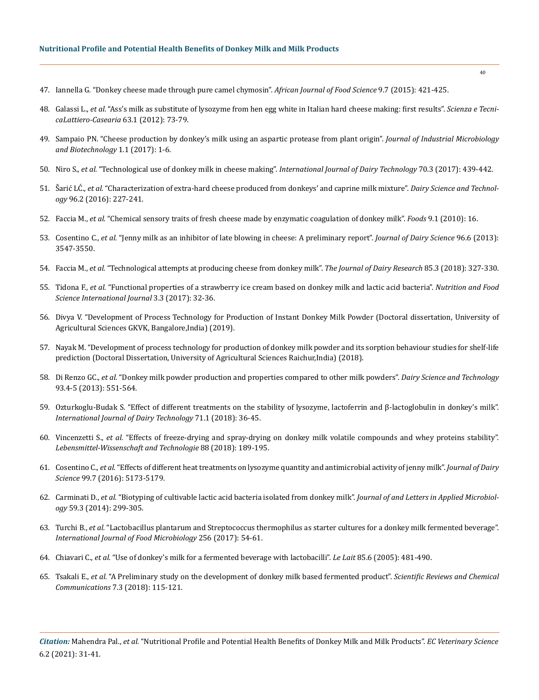- 47. [Iannella G. "Donkey cheese made through pure camel chymosin".](https://www.researchgate.net/publication/281494127_Donkey_cheese_made_through_pure_camel_chymosin) *African Journal of Food Science* 9.7 (2015): 421-425.
- 48. Galassi L., *et al.* ["Ass's milk as substitute of lysozyme from hen egg white in Italian hard cheese making: first results".](https://www.cabdirect.org/cabdirect/abstract/20123347283) *Scienza e Tecni[caLattiero-Casearia](https://www.cabdirect.org/cabdirect/abstract/20123347283)* 63.1 (2012): 73-79.
- 49. [Sampaio PN. "Cheese production by donkey's milk using an aspartic protease from plant origin".](https://scholars.direct/Articles/industrial-biotechnology/jib-1-001.pdf?jid=industrial-biotechnology) *Journal of Industrial Microbiology [and Biotechnology](https://scholars.direct/Articles/industrial-biotechnology/jib-1-001.pdf?jid=industrial-biotechnology)* 1.1 (2017): 1-6.
- 50. Niro S., *et al.* ["Technological use of donkey milk in cheese making".](https://onlinelibrary.wiley.com/doi/abs/10.1111/1471-0307.12342) *International Journal of Dairy Technology* 70.3 (2017): 439-442.
- 51. Šarić LĆ., *et al.* ["Characterization of extra-hard cheese produced from donkeys' and caprine milk mixture".](https://link.springer.com/article/10.1007/s13594-015-0261-2) *Dairy Science and Technology* [96.2 \(2016\): 227-241.](https://link.springer.com/article/10.1007/s13594-015-0261-2)
- 52. Faccia M., *et al.* ["Chemical sensory traits of fresh cheese made by enzymatic coagulation of donkey milk".](https://pubmed.ncbi.nlm.nih.gov/31877945/) *Foods* 9.1 (2010): 16.
- 53. Cosentino C., *et al.* "Jenny milk as an inhibitor of late blowing in cheese: A preliminary report". *Journal of Dairy Science* 96.6 (2013): 3547-3550.
- 54. Faccia M., *et al.* ["Technological attempts at producing cheese from donkey milk".](https://www.cambridge.org/core/journals/journal-of-dairy-research/article/abs/technological-attempts-at-producing-cheese-from-donkey-milk/8F2E052D1CAFABA8719118528B1DBF88) *The Journal of Dairy Research* 85.3 (2018): 327-330.
- 55. Tidona F., *et al.* ["Functional properties of a strawberry ice cream based on donkey milk and lactic acid bacteria".](https://www.researchgate.net/publication/320331452_Functional_Properties_of_a_Strawberry_Ice_Cream_Based_on_Donkey_Milk_and_Lactic_Acid_Bacteria) *Nutrition and Food [Science International Journal](https://www.researchgate.net/publication/320331452_Functional_Properties_of_a_Strawberry_Ice_Cream_Based_on_Donkey_Milk_and_Lactic_Acid_Bacteria)* 3.3 (2017): 32-36.
- 56. Divya V. "Development of Process Technology for Production of Instant Donkey Milk Powder (Doctoral dissertation, University of Agricultural Sciences GKVK, Bangalore,India) (2019).
- 57. Nayak M. "Development of process technology for production of donkey milk powder and its sorption behaviour studies for shelf-life prediction (Doctoral Dissertation, University of Agricultural Sciences Raichur,India) (2018).
- 58. Di Renzo GC., *et al.* ["Donkey milk powder production and properties compared to other milk powders".](https://www.researchgate.net/publication/257805512_Donkey_milk_powder_production_and_properties_compared_to_other_milk_powders) *Dairy Science and Technology*  [93.4-5 \(2013\): 551-564.](https://www.researchgate.net/publication/257805512_Donkey_milk_powder_production_and_properties_compared_to_other_milk_powders)
- 59. [Ozturkoglu‐Budak S. "Effect of different treatments on the stability of lysozyme, lactoferrin and β‐lactoglobulin in donkey's milk".](https://app.dimensions.ai/details/publication/pub.1041108083)  *[International Journal of Dairy Technology](https://app.dimensions.ai/details/publication/pub.1041108083)* 71.1 (2018): 36-45.
- 60. Vincenzetti S., *et al.* ["Effects of freeze-drying and spray-drying on donkey milk volatile compounds and whey proteins stability".](https://www.researchgate.net/publication/320397049_Effects_of_freeze-drying_and_spray-drying_on_donkey_milk_volatile_compounds_and_whey_proteins_stability)  *[Lebensmittel-Wissenschaft and Technologie](https://www.researchgate.net/publication/320397049_Effects_of_freeze-drying_and_spray-drying_on_donkey_milk_volatile_compounds_and_whey_proteins_stability)* 88 (2018): 189-195.
- 61. Cosentino C., *et al.* ["Effects of different heat treatments on lysozyme quantity and antimicrobial activity of jenny milk".](https://www.sciencedirect.com/science/article/pii/S0022030216302235) *Journal of Dairy Science* [99.7 \(2016\): 5173-5179.](https://www.sciencedirect.com/science/article/pii/S0022030216302235)
- 62. Carminati D., *et al.* ["Biotyping of cultivable lactic acid bacteria isolated from donkey milk".](https://pubmed.ncbi.nlm.nih.gov/24749686/) *Journal of and Letters in Applied Microbiology* [59.3 \(2014\): 299-305.](https://pubmed.ncbi.nlm.nih.gov/24749686/)
- 63. Turchi B., *et al.* ["Lactobacillus plantarum and Streptococcus thermophilus as starter cultures for a donkey milk fermented beverage".](https://pubmed.ncbi.nlm.nih.gov/28599175/)  *[International Journal of Food Microbiology](https://pubmed.ncbi.nlm.nih.gov/28599175/)* 256 (2017): 54-61.
- 64. Chiavari C., *et al.* ["Use of donkey's milk for a fermented beverage with lactobacilli".](https://www.researchgate.net/publication/41701610_Use_of_donkey%27s_milk_for_a_fermented_beverage_with_Lactobacilli) *Le Lait* 85.6 (2005): 481-490.
- 65. Tsakali E., *et al.* ["A Preliminary study on the development of donkey milk based fermented product".](https://limo.libis.be/primo-explore/fulldisplay?docid=LIRIAS1675306&context=L&vid=Lirias&search_scope=Lirias&tab=default_tab&lang=en_US&fromSitemap=1) *Scientific Reviews and Chemical Communications* [7.3 \(2018\): 115-121.](https://limo.libis.be/primo-explore/fulldisplay?docid=LIRIAS1675306&context=L&vid=Lirias&search_scope=Lirias&tab=default_tab&lang=en_US&fromSitemap=1)